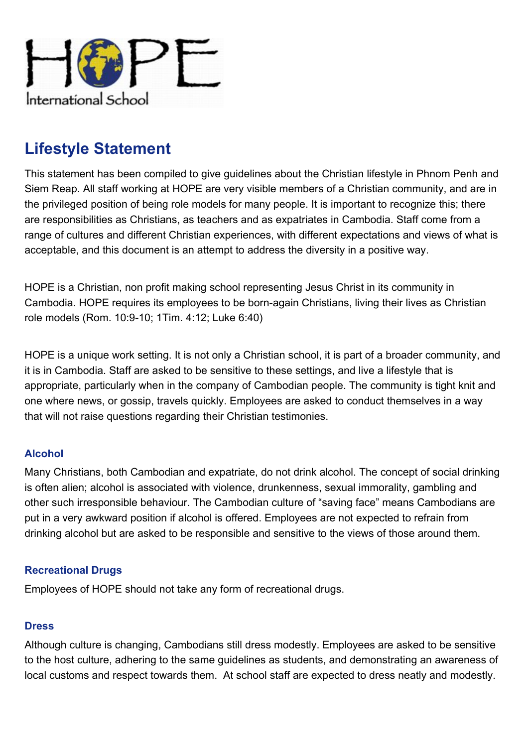

# **Lifestyle Statement**

This statement has been compiled to give guidelines about the Christian lifestyle in Phnom Penh and Siem Reap. All staff working at HOPE are very visible members of a Christian community, and are in the privileged position of being role models for many people. It is important to recognize this; there are responsibilities as Christians, as teachers and as expatriates in Cambodia. Staff come from a range of cultures and different Christian experiences, with different expectations and views of what is acceptable, and this document is an attempt to address the diversity in a positive way.

HOPE is a Christian, non profit making school representing Jesus Christ in its community in Cambodia. HOPE requires its employees to be born-again Christians, living their lives as Christian role models (Rom. 10:9-10; 1Tim. 4:12; Luke 6:40)

HOPE is a unique work setting. It is not only a Christian school, it is part of a broader community, and it is in Cambodia. Staff are asked to be sensitive to these settings, and live a lifestyle that is appropriate, particularly when in the company of Cambodian people. The community is tight knit and one where news, or gossip, travels quickly. Employees are asked to conduct themselves in a way that will not raise questions regarding their Christian testimonies.

# **Alcohol**

Many Christians, both Cambodian and expatriate, do not drink alcohol. The concept of social drinking is often alien; alcohol is associated with violence, drunkenness, sexual immorality, gambling and other such irresponsible behaviour. The Cambodian culture of "saving face" means Cambodians are put in a very awkward position if alcohol is offered. Employees are not expected to refrain from drinking alcohol but are asked to be responsible and sensitive to the views of those around them.

# **Recreational Drugs**

Employees of HOPE should not take any form of recreational drugs.

#### **Dress**

Although culture is changing, Cambodians still dress modestly. Employees are asked to be sensitive to the host culture, adhering to the same guidelines as students, and demonstrating an awareness of local customs and respect towards them. At school staff are expected to dress neatly and modestly.